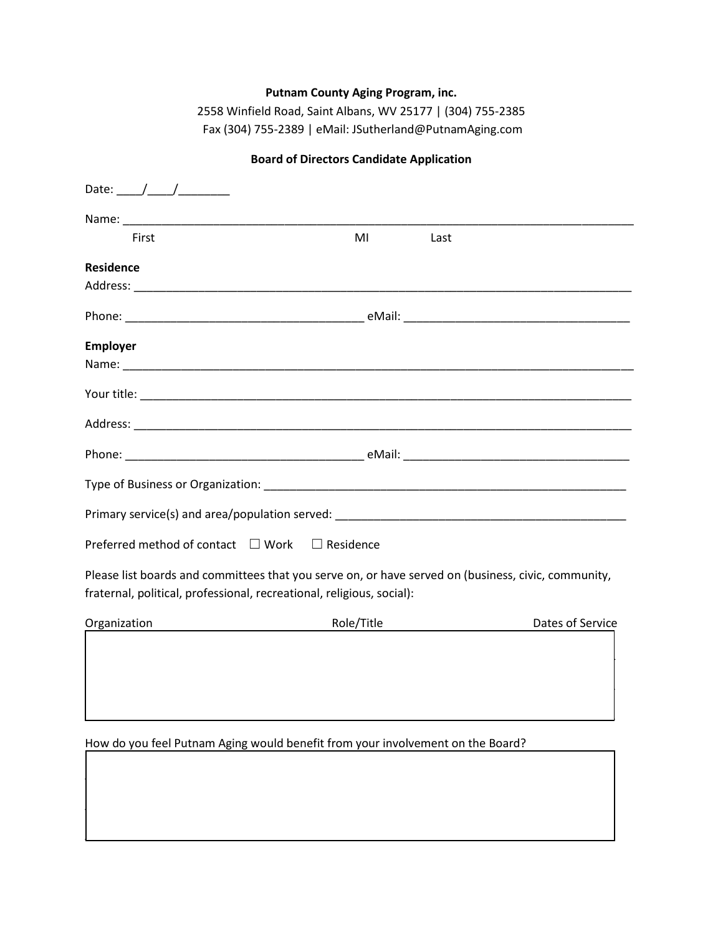## **Putnam County Aging Program, inc.**

2558 Winfield Road, Saint Albans, WV 25177 | (304) 755-2385 Fax (304) 755-2389 | eMail: JSutherland@PutnamAging.com

| First                                          | MI<br>Last                                                                                                                                                                                                                     |                  |
|------------------------------------------------|--------------------------------------------------------------------------------------------------------------------------------------------------------------------------------------------------------------------------------|------------------|
| <b>Residence</b>                               |                                                                                                                                                                                                                                |                  |
|                                                |                                                                                                                                                                                                                                |                  |
|                                                |                                                                                                                                                                                                                                |                  |
| <b>Employer</b>                                |                                                                                                                                                                                                                                |                  |
|                                                |                                                                                                                                                                                                                                |                  |
|                                                |                                                                                                                                                                                                                                |                  |
|                                                |                                                                                                                                                                                                                                |                  |
|                                                |                                                                                                                                                                                                                                |                  |
|                                                | Type of Business or Organization: Note that the state of the state of the state of the state of the state of the state of the state of the state of the state of the state of the state of the state of the state of the state |                  |
|                                                |                                                                                                                                                                                                                                |                  |
| Preferred method of contact □ Work □ Residence |                                                                                                                                                                                                                                |                  |
|                                                | Please list boards and committees that you serve on, or have served on (business, civic, community,                                                                                                                            |                  |
|                                                | fraternal, political, professional, recreational, religious, social):                                                                                                                                                          |                  |
| Organization                                   | Role/Title<br><u> 1989 - Johann Barnett, fransk politik (</u>                                                                                                                                                                  | Dates of Service |
|                                                |                                                                                                                                                                                                                                |                  |

**Board of Directors Candidate Application** 

How do you feel Putnam Aging would benefit from your involvement on the Board?

 $\mathcal{L}_\mathcal{L} = \{ \mathcal{L}_\mathcal{L} = \{ \mathcal{L}_\mathcal{L} = \{ \mathcal{L}_\mathcal{L} = \{ \mathcal{L}_\mathcal{L} = \{ \mathcal{L}_\mathcal{L} = \{ \mathcal{L}_\mathcal{L} = \{ \mathcal{L}_\mathcal{L} = \{ \mathcal{L}_\mathcal{L} = \{ \mathcal{L}_\mathcal{L} = \{ \mathcal{L}_\mathcal{L} = \{ \mathcal{L}_\mathcal{L} = \{ \mathcal{L}_\mathcal{L} = \{ \mathcal{L}_\mathcal{L} = \{ \mathcal{L}_\mathcal{$ 

 $\Box$  and the contribution of the contribution of the contribution of the contribution of the contribution of the contribution of the contribution of the contribution of the contribution of the contribution of the contribu

 $\Box$  and the contribution of the contribution of the contribution of the contribution of the contribution of the contribution of the contribution of the contribution of the contribution of the contribution of the contribu

 $\mathcal{L}_\text{max}$  and  $\mathcal{L}_\text{max}$  and  $\mathcal{L}_\text{max}$  and  $\mathcal{L}_\text{max}$  and  $\mathcal{L}_\text{max}$  and  $\mathcal{L}_\text{max}$